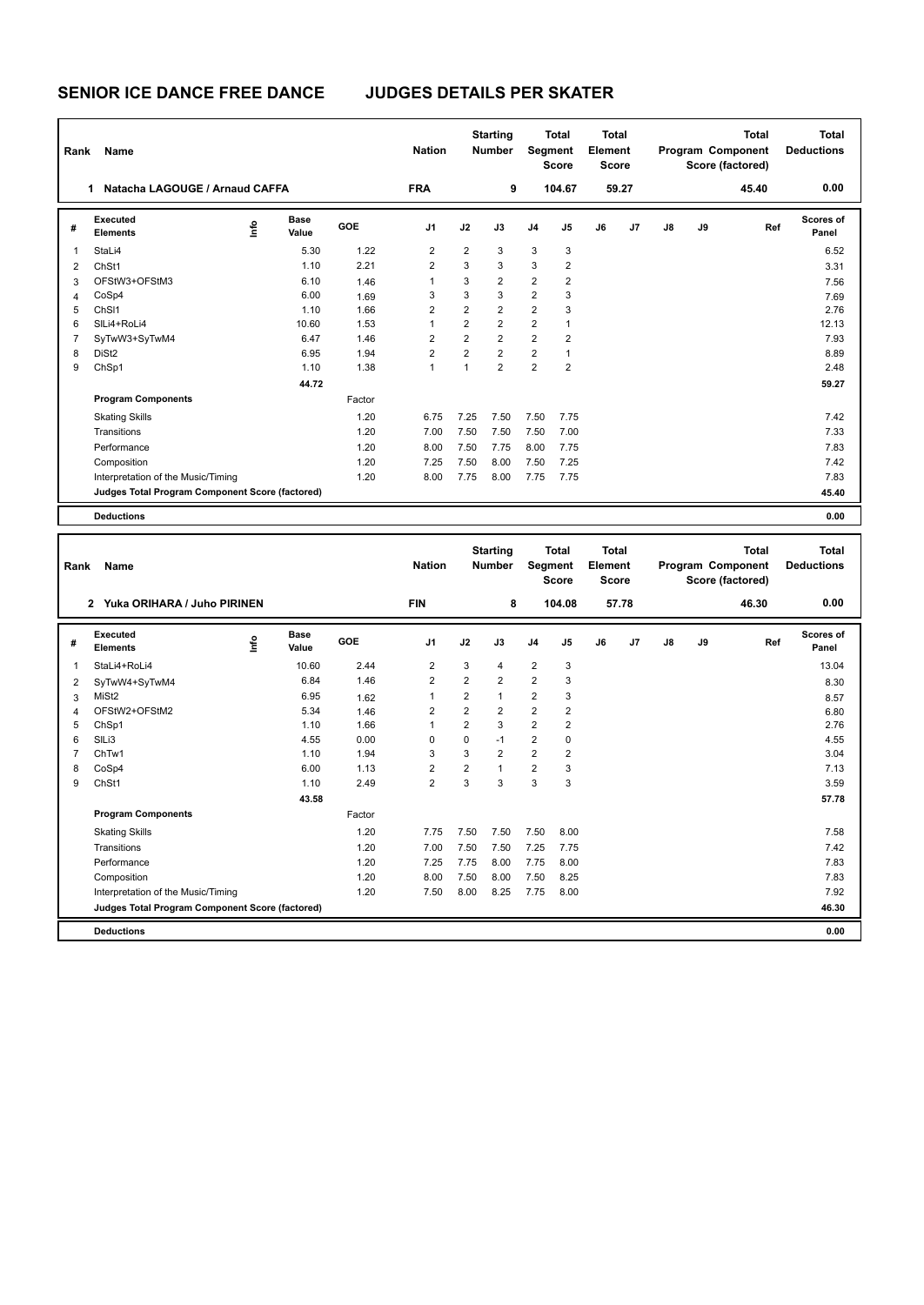| Rank | Name                                            |      |                      |        | <b>Nation</b>  |                | <b>Starting</b><br><b>Number</b> | Segment        | <b>Total</b><br><b>Score</b> | <b>Total</b><br>Element<br><b>Score</b> |       |    |    | <b>Total</b><br>Program Component<br>Score (factored) | Total<br><b>Deductions</b> |
|------|-------------------------------------------------|------|----------------------|--------|----------------|----------------|----------------------------------|----------------|------------------------------|-----------------------------------------|-------|----|----|-------------------------------------------------------|----------------------------|
|      | Natacha LAGOUGE / Arnaud CAFFA<br>1             |      |                      |        | <b>FRA</b>     |                | 9                                |                | 104.67                       |                                         | 59.27 |    |    | 45.40                                                 | 0.00                       |
| #    | Executed<br><b>Elements</b>                     | lnfo | <b>Base</b><br>Value | GOE    | J <sub>1</sub> | J2             | J3                               | J <sub>4</sub> | J <sub>5</sub>               | J6                                      | J7    | J8 | J9 | Ref                                                   | <b>Scores of</b><br>Panel  |
| 1    | StaLi4                                          |      | 5.30                 | 1.22   | $\overline{2}$ | $\overline{2}$ | 3                                | 3              | 3                            |                                         |       |    |    |                                                       | 6.52                       |
| 2    | ChSt1                                           |      | 1.10                 | 2.21   | $\overline{2}$ | 3              | 3                                | 3              | $\overline{2}$               |                                         |       |    |    |                                                       | 3.31                       |
| 3    | OFStW3+OFStM3                                   |      | 6.10                 | 1.46   | 1              | 3              | $\overline{2}$                   | $\overline{2}$ | $\overline{2}$               |                                         |       |    |    |                                                       | 7.56                       |
| 4    | CoSp4                                           |      | 6.00                 | 1.69   | 3              | 3              | 3                                | $\overline{2}$ | 3                            |                                         |       |    |    |                                                       | 7.69                       |
| 5    | ChS <sub>11</sub>                               |      | 1.10                 | 1.66   | $\overline{2}$ | $\overline{2}$ | $\overline{2}$                   | $\overline{2}$ | 3                            |                                         |       |    |    |                                                       | 2.76                       |
| 6    | SILi4+RoLi4                                     |      | 10.60                | 1.53   | 1              | $\overline{2}$ | $\overline{2}$                   | $\overline{2}$ | 1                            |                                         |       |    |    |                                                       | 12.13                      |
| 7    | SyTwW3+SyTwM4                                   |      | 6.47                 | 1.46   | $\overline{2}$ | $\overline{2}$ | $\overline{2}$                   | $\overline{2}$ | $\overline{2}$               |                                         |       |    |    |                                                       | 7.93                       |
| 8    | DiSt <sub>2</sub>                               |      | 6.95                 | 1.94   | $\overline{2}$ | $\overline{2}$ | $\overline{2}$                   | $\overline{2}$ | 1                            |                                         |       |    |    |                                                       | 8.89                       |
| 9    | ChSp1                                           |      | 1.10                 | 1.38   | 1              | 1              | $\overline{2}$                   | $\overline{2}$ | $\overline{2}$               |                                         |       |    |    |                                                       | 2.48                       |
|      |                                                 |      | 44.72                |        |                |                |                                  |                |                              |                                         |       |    |    |                                                       | 59.27                      |
|      | <b>Program Components</b>                       |      |                      | Factor |                |                |                                  |                |                              |                                         |       |    |    |                                                       |                            |
|      | <b>Skating Skills</b>                           |      |                      | 1.20   | 6.75           | 7.25           | 7.50                             | 7.50           | 7.75                         |                                         |       |    |    |                                                       | 7.42                       |
|      | Transitions                                     |      |                      | 1.20   | 7.00           | 7.50           | 7.50                             | 7.50           | 7.00                         |                                         |       |    |    |                                                       | 7.33                       |
|      | Performance                                     |      |                      | 1.20   | 8.00           | 7.50           | 7.75                             | 8.00           | 7.75                         |                                         |       |    |    |                                                       | 7.83                       |
|      | Composition                                     |      |                      | 1.20   | 7.25           | 7.50           | 8.00                             | 7.50           | 7.25                         |                                         |       |    |    |                                                       | 7.42                       |
|      | Interpretation of the Music/Timing              |      |                      | 1.20   | 8.00           | 7.75           | 8.00                             | 7.75           | 7.75                         |                                         |       |    |    |                                                       | 7.83                       |
|      | Judges Total Program Component Score (factored) |      |                      |        |                |                |                                  |                |                              |                                         |       |    |    |                                                       | 45.40                      |
|      | <b>Deductions</b>                               |      |                      |        |                |                |                                  |                |                              |                                         |       |    |    |                                                       | 0.00                       |

| Rank           | Name                                            |      |                      |        | <b>Nation</b>  |                | <b>Starting</b><br><b>Number</b> | Segment        | <b>Total</b><br><b>Score</b> | Total<br>Element<br><b>Score</b> |       |    |    | <b>Total</b><br>Program Component<br>Score (factored) | <b>Total</b><br><b>Deductions</b> |
|----------------|-------------------------------------------------|------|----------------------|--------|----------------|----------------|----------------------------------|----------------|------------------------------|----------------------------------|-------|----|----|-------------------------------------------------------|-----------------------------------|
|                | Yuka ORIHARA / Juho PIRINEN<br>$\mathbf{2}$     |      |                      |        | <b>FIN</b>     |                | 8                                |                | 104.08                       |                                  | 57.78 |    |    | 46.30                                                 | 0.00                              |
| #              | Executed<br><b>Elements</b>                     | lnfo | <b>Base</b><br>Value | GOE    | J <sub>1</sub> | J2             | J3                               | J <sub>4</sub> | J5                           | J6                               | J7    | J8 | J9 | Ref                                                   | Scores of<br>Panel                |
| $\overline{1}$ | StaLi4+RoLi4                                    |      | 10.60                | 2.44   | $\overline{2}$ | 3              | $\overline{4}$                   | $\overline{c}$ | 3                            |                                  |       |    |    |                                                       | 13.04                             |
| 2              | SyTwW4+SyTwM4                                   |      | 6.84                 | 1.46   | 2              | $\overline{2}$ | $\overline{2}$                   | 2              | 3                            |                                  |       |    |    |                                                       | 8.30                              |
| 3              | MiSt <sub>2</sub>                               |      | 6.95                 | 1.62   | 1              | $\overline{2}$ | $\mathbf{1}$                     | 2              | 3                            |                                  |       |    |    |                                                       | 8.57                              |
| 4              | OFStW2+OFStM2                                   |      | 5.34                 | 1.46   | 2              | $\overline{2}$ | $\overline{2}$                   | $\overline{2}$ | $\overline{2}$               |                                  |       |    |    |                                                       | 6.80                              |
| 5              | ChSp1                                           |      | 1.10                 | 1.66   | 1              | $\overline{2}$ | 3                                | $\overline{2}$ | $\overline{2}$               |                                  |       |    |    |                                                       | 2.76                              |
| 6              | SILi3                                           |      | 4.55                 | 0.00   | $\Omega$       | $\Omega$       | $-1$                             | 2              | $\Omega$                     |                                  |       |    |    |                                                       | 4.55                              |
| $\overline{7}$ | ChTw1                                           |      | 1.10                 | 1.94   | 3              | 3              | $\overline{2}$                   | 2              | $\overline{2}$               |                                  |       |    |    |                                                       | 3.04                              |
| 8              | CoSp4                                           |      | 6.00                 | 1.13   | $\overline{2}$ | $\overline{2}$ | $\overline{1}$                   | $\overline{2}$ | 3                            |                                  |       |    |    |                                                       | 7.13                              |
| 9              | ChSt1                                           |      | 1.10                 | 2.49   | $\overline{2}$ | 3              | 3                                | 3              | 3                            |                                  |       |    |    |                                                       | 3.59                              |
|                |                                                 |      | 43.58                |        |                |                |                                  |                |                              |                                  |       |    |    |                                                       | 57.78                             |
|                | <b>Program Components</b>                       |      |                      | Factor |                |                |                                  |                |                              |                                  |       |    |    |                                                       |                                   |
|                | <b>Skating Skills</b>                           |      |                      | 1.20   | 7.75           | 7.50           | 7.50                             | 7.50           | 8.00                         |                                  |       |    |    |                                                       | 7.58                              |
|                | Transitions                                     |      |                      | 1.20   | 7.00           | 7.50           | 7.50                             | 7.25           | 7.75                         |                                  |       |    |    |                                                       | 7.42                              |
|                | Performance                                     |      |                      | 1.20   | 7.25           | 7.75           | 8.00                             | 7.75           | 8.00                         |                                  |       |    |    |                                                       | 7.83                              |
|                | Composition                                     |      |                      | 1.20   | 8.00           | 7.50           | 8.00                             | 7.50           | 8.25                         |                                  |       |    |    |                                                       | 7.83                              |
|                | Interpretation of the Music/Timing              |      |                      | 1.20   | 7.50           | 8.00           | 8.25                             | 7.75           | 8.00                         |                                  |       |    |    |                                                       | 7.92                              |
|                | Judges Total Program Component Score (factored) |      |                      |        |                |                |                                  |                |                              |                                  |       |    |    |                                                       | 46.30                             |
|                | <b>Deductions</b>                               |      |                      |        |                |                |                                  |                |                              |                                  |       |    |    |                                                       | 0.00                              |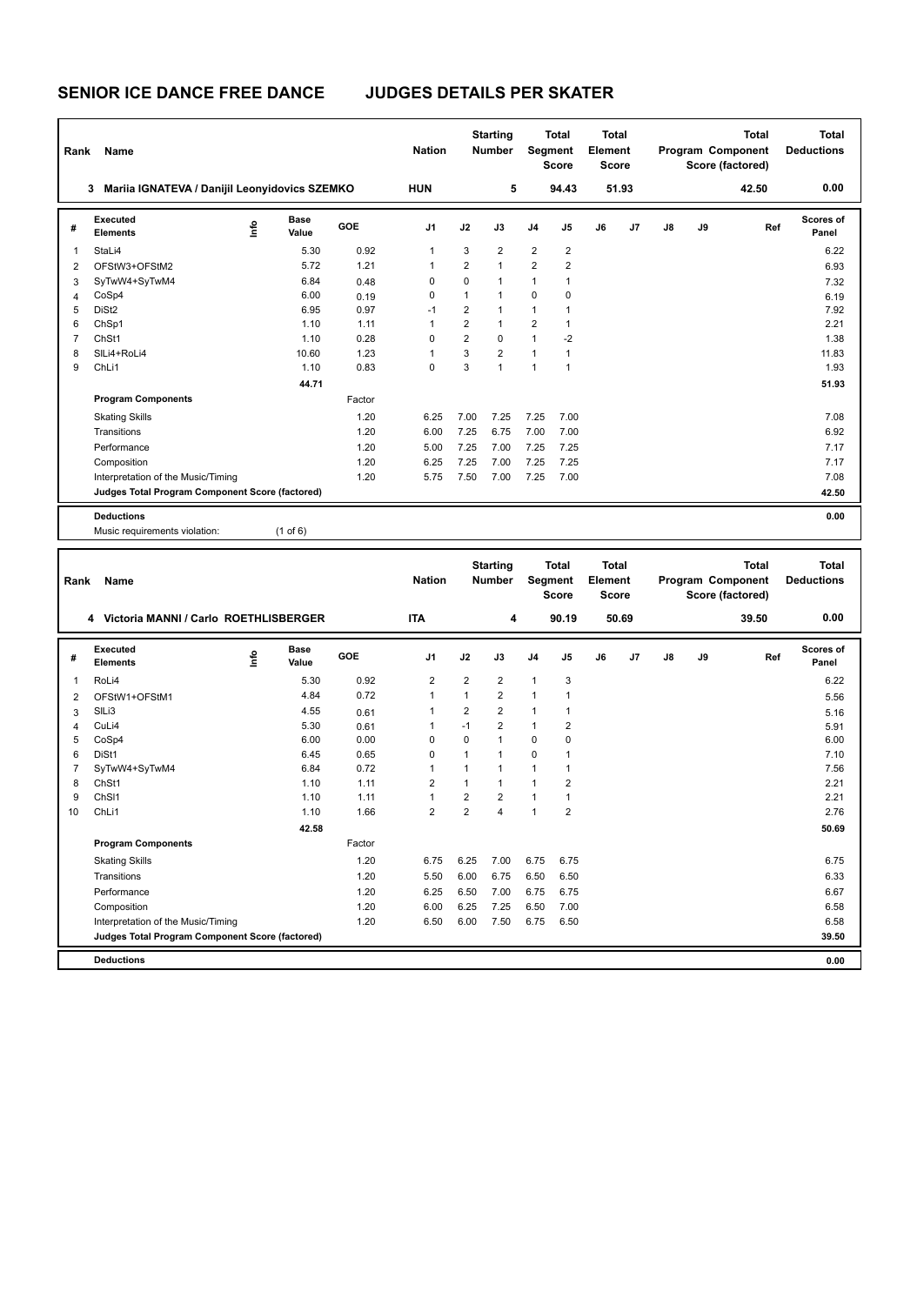| Rank           | Name                                            |      |                      |        | <b>Nation</b>  |                | <b>Starting</b><br><b>Number</b> |                | <b>Total</b><br>Segment<br><b>Score</b> | <b>Total</b><br>Element<br><b>Score</b> |       |    | Program Component<br>Score (factored) | <b>Total</b> | <b>Total</b><br><b>Deductions</b> |
|----------------|-------------------------------------------------|------|----------------------|--------|----------------|----------------|----------------------------------|----------------|-----------------------------------------|-----------------------------------------|-------|----|---------------------------------------|--------------|-----------------------------------|
|                | 3 Mariia IGNATEVA / Danijil Leonyidovics SZEMKO |      |                      |        | <b>HUN</b>     |                | 5                                |                | 94.43                                   |                                         | 51.93 |    |                                       | 42.50        | 0.00                              |
| #              | Executed<br><b>Elements</b>                     | ١mfo | <b>Base</b><br>Value | GOE    | J1             | J2             | J3                               | J4             | J5                                      | J6                                      | J7    | J8 | J9                                    | Ref          | <b>Scores of</b><br>Panel         |
| $\mathbf{1}$   | StaLi4                                          |      | 5.30                 | 0.92   | $\mathbf{1}$   | 3              | $\overline{2}$                   | $\overline{2}$ | $\overline{2}$                          |                                         |       |    |                                       |              | 6.22                              |
| $\overline{2}$ | OFStW3+OFStM2                                   |      | 5.72                 | 1.21   | 1              | $\overline{2}$ | $\overline{1}$                   | $\overline{c}$ | $\overline{\mathbf{c}}$                 |                                         |       |    |                                       |              | 6.93                              |
| 3              | SyTwW4+SyTwM4                                   |      | 6.84                 | 0.48   | $\mathbf 0$    | $\mathbf 0$    | 1                                | $\mathbf{1}$   | $\mathbf{1}$                            |                                         |       |    |                                       |              | 7.32                              |
| $\overline{4}$ | CoSp4                                           |      | 6.00                 | 0.19   | 0              | $\mathbf{1}$   | $\overline{1}$                   | $\mathbf 0$    | $\mathbf 0$                             |                                         |       |    |                                       |              | 6.19                              |
| 5              | DiSt <sub>2</sub>                               |      | 6.95                 | 0.97   | $-1$           | $\overline{2}$ | $\mathbf{1}$                     | $\mathbf{1}$   | $\mathbf{1}$                            |                                         |       |    |                                       |              | 7.92                              |
| 6              | ChSp1                                           |      | 1.10                 | 1.11   | 1              | $\overline{2}$ | 1                                | $\overline{2}$ | $\mathbf{1}$                            |                                         |       |    |                                       |              | 2.21                              |
| $\overline{7}$ | ChSt1                                           |      | 1.10                 | 0.28   | $\mathbf 0$    | $\overline{2}$ | 0                                | $\mathbf{1}$   | $-2$                                    |                                         |       |    |                                       |              | 1.38                              |
| 8              | SILi4+RoLi4                                     |      | 10.60                | 1.23   | 1              | 3              | $\overline{2}$                   | $\mathbf{1}$   | $\mathbf{1}$                            |                                         |       |    |                                       |              | 11.83                             |
| 9              | ChLi1                                           |      | 1.10                 | 0.83   | $\mathbf 0$    | 3              | $\mathbf{1}$                     | $\mathbf{1}$   | $\mathbf{1}$                            |                                         |       |    |                                       |              | 1.93                              |
|                |                                                 |      | 44.71                |        |                |                |                                  |                |                                         |                                         |       |    |                                       |              | 51.93                             |
|                | <b>Program Components</b>                       |      |                      | Factor |                |                |                                  |                |                                         |                                         |       |    |                                       |              |                                   |
|                | <b>Skating Skills</b>                           |      |                      | 1.20   | 6.25           | 7.00           | 7.25                             | 7.25           | 7.00                                    |                                         |       |    |                                       |              | 7.08                              |
|                | Transitions                                     |      |                      | 1.20   | 6.00           | 7.25           | 6.75                             | 7.00           | 7.00                                    |                                         |       |    |                                       |              | 6.92                              |
|                | Performance                                     |      |                      | 1.20   | 5.00           | 7.25           | 7.00                             | 7.25           | 7.25                                    |                                         |       |    |                                       |              | 7.17                              |
|                | Composition                                     |      |                      | 1.20   | 6.25           | 7.25           | 7.00                             | 7.25           | 7.25                                    |                                         |       |    |                                       |              | 7.17                              |
|                | Interpretation of the Music/Timing              |      |                      | 1.20   | 5.75           | 7.50           | 7.00                             | 7.25           | 7.00                                    |                                         |       |    |                                       |              | 7.08                              |
|                | Judges Total Program Component Score (factored) |      |                      |        |                |                |                                  |                |                                         |                                         |       |    |                                       |              | 42.50                             |
|                | <b>Deductions</b>                               |      |                      |        |                |                |                                  |                |                                         |                                         |       |    |                                       |              | 0.00                              |
|                | Music requirements violation:                   |      | $(1$ of 6)           |        |                |                |                                  |                |                                         |                                         |       |    |                                       |              |                                   |
|                |                                                 |      |                      |        |                |                |                                  |                |                                         |                                         |       |    |                                       |              |                                   |
|                |                                                 |      |                      |        | <b>Nation</b>  |                | <b>Starting</b><br><b>Number</b> |                | <b>Total</b>                            | Total<br>Element                        |       |    |                                       | <b>Total</b> | <b>Total</b><br><b>Deductions</b> |
| Rank           | Name                                            |      |                      |        |                |                |                                  |                | Segment<br><b>Score</b>                 | <b>Score</b>                            |       |    | Program Component<br>Score (factored) |              |                                   |
|                | 4 Victoria MANNI / Carlo ROETHLISBERGER         |      |                      |        | <b>ITA</b>     |                | $\overline{\mathbf{4}}$          |                | 90.19                                   |                                         | 50.69 |    |                                       | 39.50        | 0.00                              |
| #              | Executed<br>Elements                            | ١nf٥ | <b>Base</b><br>Value | GOE    | J1             | J2             | J3                               | J <sub>4</sub> | J5                                      | J6                                      | J7    | J8 | J9                                    | Ref          | <b>Scores of</b><br>Panel         |
| 1              | RoLi4                                           |      | 5.30                 | 0.92   | $\overline{2}$ | $\overline{2}$ | $\overline{2}$                   | $\mathbf{1}$   | 3                                       |                                         |       |    |                                       |              | 6.22                              |
| $\overline{2}$ | OFStW1+OFStM1                                   |      | 4.84                 | 0.72   | $\mathbf{1}$   | $\mathbf{1}$   | $\overline{2}$                   | $\mathbf{1}$   | $\mathbf{1}$                            |                                         |       |    |                                       |              | 5.56                              |
| 3              | SILi3                                           |      | 4.55                 | 0.61   | 1              | $\overline{2}$ | $\overline{2}$                   | $\mathbf{1}$   | $\mathbf{1}$                            |                                         |       |    |                                       |              | 5.16                              |
| $\overline{4}$ | CuLi4                                           |      | 5.30                 | 0.61   | 1              | $-1$           | $\overline{2}$                   | $\mathbf{1}$   | $\overline{c}$                          |                                         |       |    |                                       |              | 5.91                              |
| 5              | CoSp4                                           |      | 6.00                 | 0.00   | 0              | $\mathbf 0$    | 1                                | $\mathbf 0$    | $\mathbf 0$                             |                                         |       |    |                                       |              | 6.00                              |
| 6              | DiSt1                                           |      | 6.45                 | 0.65   | $\mathbf 0$    | 1              | $\overline{1}$                   | $\mathbf 0$    | $\mathbf{1}$                            |                                         |       |    |                                       |              | 7.10                              |
| $\overline{7}$ | SyTwW4+SyTwM4                                   |      | 6.84                 | 0.72   | $\mathbf{1}$   | $\mathbf{1}$   | $\mathbf{1}$                     | $\mathbf{1}$   | $\mathbf{1}$                            |                                         |       |    |                                       |              | 7.56                              |
| 8              | ChSt1                                           |      | 1.10                 | 1.11   | $\overline{2}$ | $\mathbf{1}$   | $\mathbf{1}$                     | $\mathbf{1}$   | $\overline{2}$                          |                                         |       |    |                                       |              | 2.21                              |
| 9              | ChS <sub>11</sub>                               |      | 1.10                 | 1.11   | $\mathbf{1}$   | $\overline{2}$ | $\overline{2}$                   | $\mathbf{1}$   | $\mathbf{1}$                            |                                         |       |    |                                       |              | 2.21                              |
| 10             | ChLi1                                           |      | 1.10                 | 1.66   | $\overline{2}$ | $\overline{2}$ | $\overline{\mathbf{A}}$          | $\mathbf{1}$   | $\overline{2}$                          |                                         |       |    |                                       |              | 2.76                              |
|                |                                                 |      | 42.58                |        |                |                |                                  |                |                                         |                                         |       |    |                                       |              | 50.69                             |
|                | <b>Program Components</b>                       |      |                      | Factor |                |                |                                  |                |                                         |                                         |       |    |                                       |              |                                   |

Transitions 1.20 5.50 6.00 6.75 6.50 6.50 6.33 Performance 1.20 6.25 6.50 7.00 6.75 6.75 6.67 Composition 1.20 6.00 6.25 7.25 6.50 7.00 6.58 Interpretation of the Music/Timing 1.20 6.50 6.00 7.50 6.75 6.50 6.58

**Deductions 0.00 Judges Total Program Component Score (factored) 39.50**

1.20 6.75

Skating Skills 6.75 6.25 7.00 6.75 6.75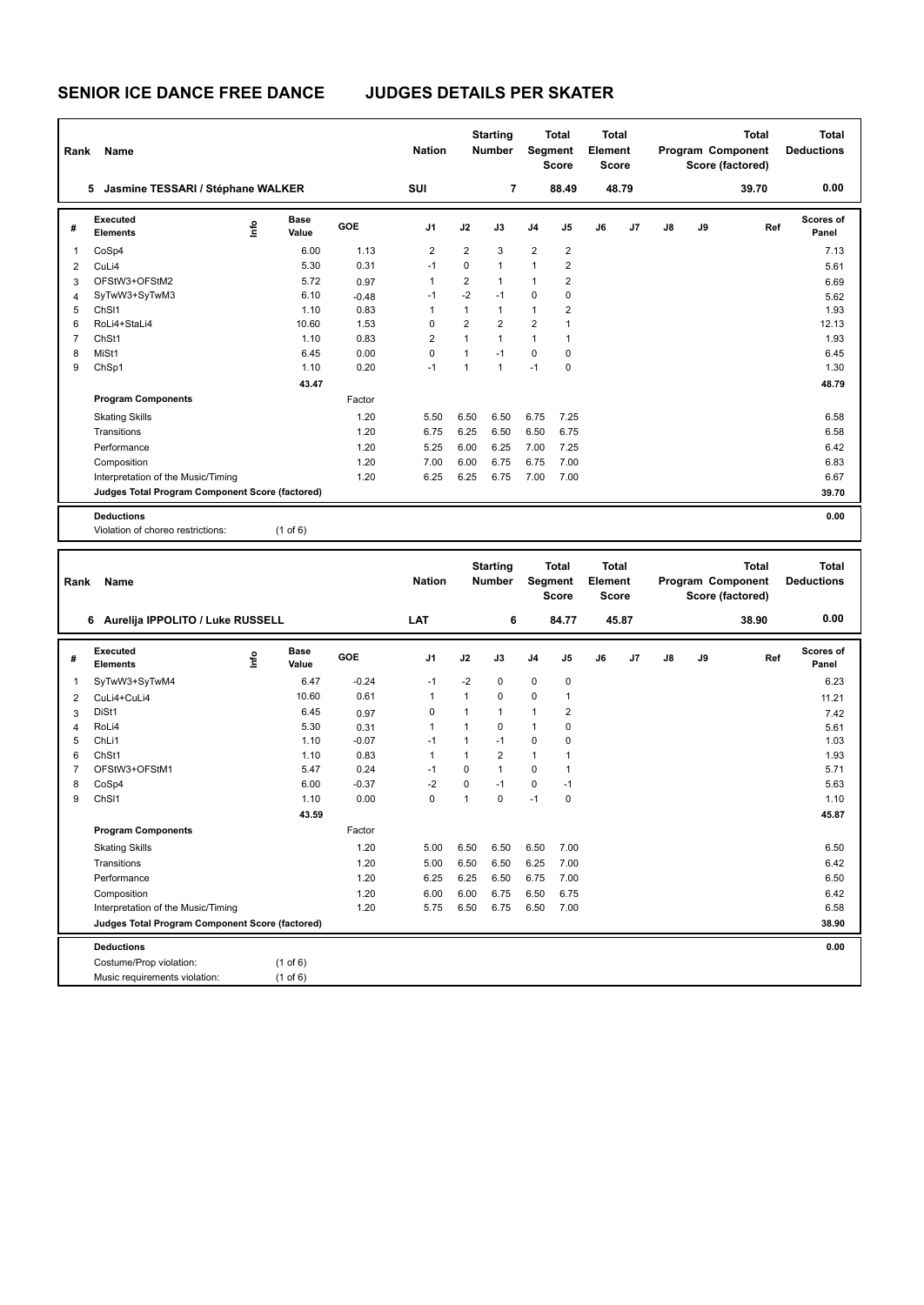Costume/Prop violation: (1 of 6)<br>Music requirements violation: (1 of 6)

Music requirements violation:

| Rank           | Name                                            |      |                      |              | <b>Nation</b>       |                   | <b>Starting</b><br><b>Number</b> |                   | <b>Total</b><br>Segment<br><b>Score</b> | Total<br>Element<br><b>Score</b> |       |    |    | Total<br>Program Component<br>Score (factored) | <b>Total</b><br><b>Deductions</b> |
|----------------|-------------------------------------------------|------|----------------------|--------------|---------------------|-------------------|----------------------------------|-------------------|-----------------------------------------|----------------------------------|-------|----|----|------------------------------------------------|-----------------------------------|
|                | 5 Jasmine TESSARI / Stéphane WALKER             |      |                      |              | SUI                 |                   | $\overline{\mathbf{r}}$          |                   | 88.49                                   |                                  | 48.79 |    |    | 39.70                                          | 0.00                              |
| #              | <b>Executed</b><br><b>Elements</b>              | Info | <b>Base</b><br>Value | GOE          | J1                  | J2                | J3                               | J4                | J5                                      | J6                               | J7    | J8 | J9 | Ref                                            | Scores of<br>Panel                |
| 1              | CoSp4                                           |      | 6.00                 | 1.13         | $\overline{2}$      | $\overline{2}$    | 3                                | $\overline{2}$    | $\overline{c}$                          |                                  |       |    |    |                                                | 7.13                              |
| 2              | CuLi4                                           |      | 5.30                 | 0.31         | $-1$                | $\mathbf 0$       | $\overline{1}$                   | 1                 | $\overline{2}$                          |                                  |       |    |    |                                                | 5.61                              |
| 3              | OFStW3+OFStM2                                   |      | 5.72                 | 0.97         | $\mathbf{1}$        | $\overline{2}$    | $\overline{1}$                   | 1                 | $\overline{2}$                          |                                  |       |    |    |                                                | 6.69                              |
| 4              | SyTwW3+SyTwM3                                   |      | 6.10                 | $-0.48$      | $-1$                | $-2$              | $-1$                             | $\pmb{0}$         | $\mathbf 0$                             |                                  |       |    |    |                                                | 5.62                              |
| 5              | ChS <sub>11</sub>                               |      | 1.10                 | 0.83         | $\mathbf{1}$        | $\mathbf{1}$      | $\mathbf{1}$                     | $\mathbf{1}$      | $\overline{\mathbf{c}}$                 |                                  |       |    |    |                                                | 1.93                              |
| 6              | RoLi4+StaLi4                                    |      | 10.60                | 1.53         | 0                   | $\overline{2}$    | $\overline{2}$                   | $\overline{2}$    | $\mathbf{1}$                            |                                  |       |    |    |                                                | 12.13                             |
| $\overline{7}$ | ChSt1                                           |      | 1.10                 | 0.83         | 2                   | $\mathbf{1}$      | $\mathbf{1}$                     | $\mathbf{1}$      | $\mathbf{1}$                            |                                  |       |    |    |                                                | 1.93                              |
| 8<br>9         | MiSt1<br>ChSp1                                  |      | 6.45<br>1.10         | 0.00<br>0.20 | $\mathbf 0$<br>$-1$ | $\mathbf{1}$<br>1 | $-1$<br>$\mathbf{1}$             | $\pmb{0}$<br>$-1$ | $\mathbf 0$<br>$\mathbf 0$              |                                  |       |    |    |                                                | 6.45<br>1.30                      |
|                |                                                 |      | 43.47                |              |                     |                   |                                  |                   |                                         |                                  |       |    |    |                                                | 48.79                             |
|                | <b>Program Components</b>                       |      |                      | Factor       |                     |                   |                                  |                   |                                         |                                  |       |    |    |                                                |                                   |
|                |                                                 |      |                      |              |                     |                   |                                  |                   |                                         |                                  |       |    |    |                                                |                                   |
|                | <b>Skating Skills</b>                           |      |                      | 1.20         | 5.50                | 6.50              | 6.50                             | 6.75              | 7.25                                    |                                  |       |    |    |                                                | 6.58                              |
|                | Transitions                                     |      |                      | 1.20         | 6.75                | 6.25              | 6.50                             | 6.50              | 6.75                                    |                                  |       |    |    |                                                | 6.58                              |
|                | Performance                                     |      |                      | 1.20         | 5.25                | 6.00              | 6.25                             | 7.00              | 7.25                                    |                                  |       |    |    |                                                | 6.42                              |
|                | Composition                                     |      |                      | 1.20         | 7.00                | 6.00              | 6.75                             | 6.75              | 7.00                                    |                                  |       |    |    |                                                | 6.83                              |
|                | Interpretation of the Music/Timing              |      |                      | 1.20         | 6.25                | 6.25              | 6.75                             | 7.00              | 7.00                                    |                                  |       |    |    |                                                | 6.67<br>39.70                     |
|                | Judges Total Program Component Score (factored) |      |                      |              |                     |                   |                                  |                   |                                         |                                  |       |    |    |                                                |                                   |
|                | <b>Deductions</b>                               |      |                      |              |                     |                   |                                  |                   |                                         |                                  |       |    |    |                                                | 0.00                              |
|                | Violation of choreo restrictions:               |      | $(1$ of $6)$         |              |                     |                   |                                  |                   |                                         |                                  |       |    |    |                                                |                                   |
|                |                                                 |      |                      |              |                     |                   |                                  |                   |                                         |                                  |       |    |    |                                                |                                   |
|                |                                                 |      |                      |              |                     |                   |                                  |                   |                                         |                                  |       |    |    |                                                |                                   |
|                |                                                 |      |                      |              |                     |                   | <b>Starting</b>                  |                   | <b>Total</b>                            | <b>Total</b>                     |       |    |    | <b>Total</b>                                   | <b>Total</b>                      |
| Rank           | Name                                            |      |                      |              | <b>Nation</b>       |                   | <b>Number</b>                    |                   | <b>Segment</b>                          | Element                          |       |    |    | Program Component                              | <b>Deductions</b>                 |
|                | 6 Aurelija IPPOLITO / Luke RUSSELL              |      |                      |              | LAT                 |                   | 6                                |                   | <b>Score</b><br>84.77                   | <b>Score</b>                     | 45.87 |    |    | Score (factored)<br>38.90                      | 0.00                              |
|                |                                                 |      |                      |              |                     |                   |                                  |                   |                                         |                                  |       |    |    |                                                |                                   |
| #              | Executed<br><b>Elements</b>                     | ۴ů   | Base<br>Value        | GOE          | J1                  | J2                | J3                               | J4                | J5                                      | J6                               | J7    | J8 | J9 | Ref                                            | Scores of<br>Panel                |
| 1              | SyTwW3+SyTwM4                                   |      | 6.47                 | $-0.24$      | $-1$                | $-2$              | $\mathbf 0$                      | $\pmb{0}$         | 0                                       |                                  |       |    |    |                                                | 6.23                              |
| 2              | CuLi4+CuLi4                                     |      | 10.60                | 0.61         | $\mathbf{1}$        | $\mathbf{1}$      | 0                                | $\pmb{0}$         | 1                                       |                                  |       |    |    |                                                | 11.21                             |
| 3              | DiSt1                                           |      | 6.45                 | 0.97         | 0                   | 1                 | $\mathbf{1}$                     | 1                 | $\overline{2}$                          |                                  |       |    |    |                                                | 7.42                              |
| 4              | RoLi4                                           |      | 5.30                 | 0.31         | 1                   | 1                 | 0                                | 1                 | $\mathbf 0$                             |                                  |       |    |    |                                                | 5.61                              |
| 5              | ChL <sub>i1</sub>                               |      | 1.10                 | $-0.07$      | $-1$                | $\mathbf{1}$      | $-1$                             | $\mathbf 0$       | 0                                       |                                  |       |    |    |                                                | 1.03                              |
| 6              | ChSt1                                           |      | 1.10                 | 0.83         | 1                   | $\mathbf{1}$      | $\overline{2}$                   | $\mathbf{1}$      | 1                                       |                                  |       |    |    |                                                | 1.93                              |
| $\overline{7}$ | OFStW3+OFStM1                                   |      | 5.47                 | 0.24         | $-1$                | $\mathbf 0$       | $\mathbf{1}$                     | $\pmb{0}$         | 1                                       |                                  |       |    |    |                                                | 5.71                              |
| 8              | CoSp4                                           |      | 6.00                 | $-0.37$      | $-2$                | $\mathbf 0$       | $-1$                             | $\pmb{0}$         | $-1$                                    |                                  |       |    |    |                                                | 5.63                              |
| 9              | ChSI1                                           |      | 1.10                 | 0.00         | 0                   | 1                 | $\mathbf 0$                      | $-1$              | $\mathbf 0$                             |                                  |       |    |    |                                                | 1.10                              |
|                |                                                 |      | 43.59                |              |                     |                   |                                  |                   |                                         |                                  |       |    |    |                                                | 45.87                             |
|                | <b>Program Components</b>                       |      |                      | Factor       |                     |                   |                                  |                   |                                         |                                  |       |    |    |                                                |                                   |
|                | <b>Skating Skills</b>                           |      |                      | 1.20         | 5.00                | 6.50              | 6.50                             | 6.50              | 7.00                                    |                                  |       |    |    |                                                | 6.50                              |
|                | Transitions                                     |      |                      | 1.20         | 5.00                | 6.50              | 6.50                             | 6.25              | 7.00                                    |                                  |       |    |    |                                                | 6.42                              |
|                | Performance                                     |      |                      | 1.20         | 6.25                | 6.25              | 6.50                             | 6.75              | 7.00                                    |                                  |       |    |    |                                                | 6.50                              |
|                | Composition                                     |      |                      | 1.20         | 6.00                | 6.00              | 6.75                             | 6.50              | 6.75                                    |                                  |       |    |    |                                                | 6.42                              |
|                | Interpretation of the Music/Timing              |      |                      | 1.20         | 5.75                | 6.50              | 6.75                             | 6.50              | 7.00                                    |                                  |       |    |    |                                                | 6.58                              |
|                | Judges Total Program Component Score (factored) |      |                      |              |                     |                   |                                  |                   |                                         |                                  |       |    |    |                                                | 38.90                             |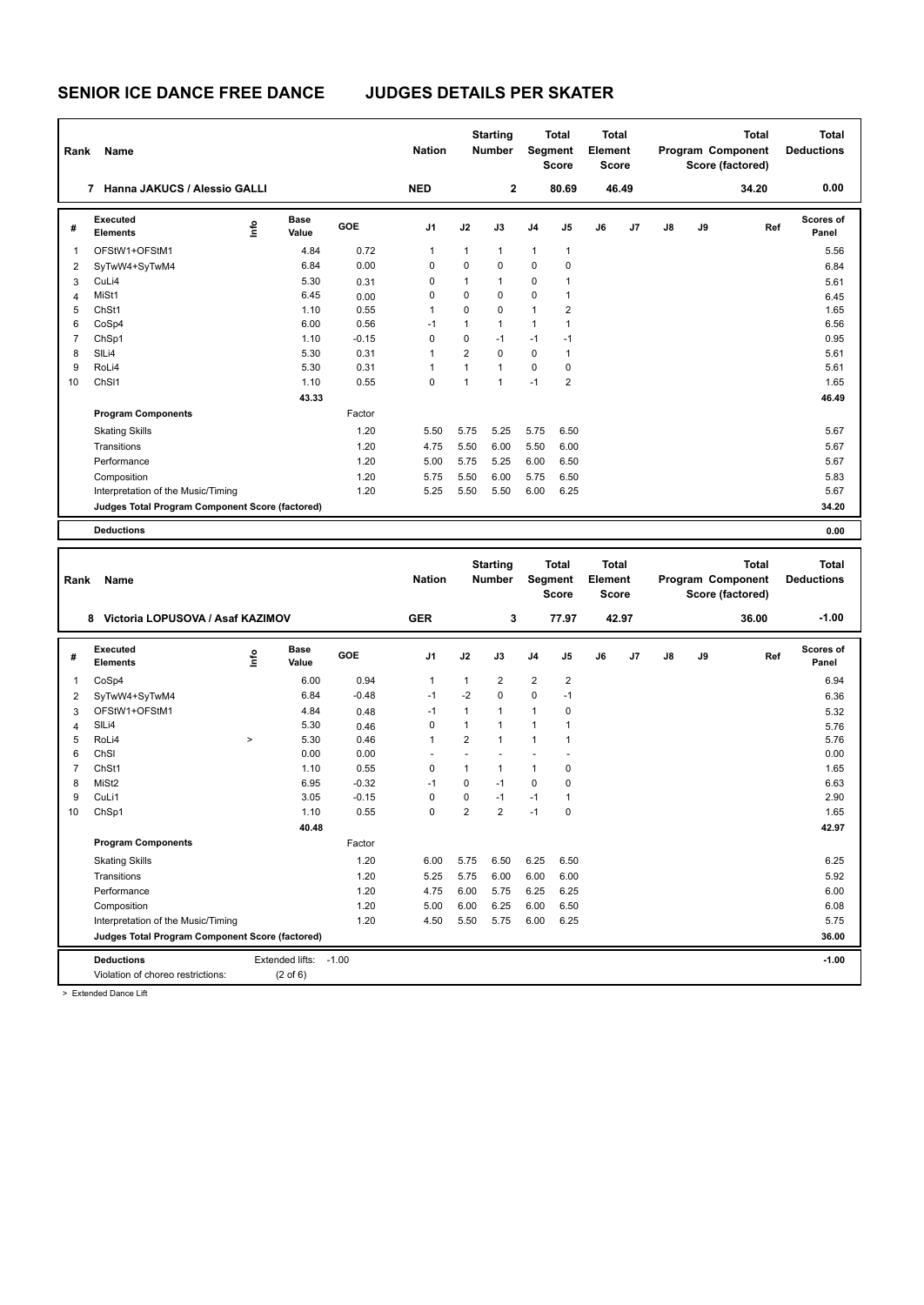| Rank           | Name                                            |      |                      |            | <b>Nation</b>  |                | <b>Starting</b><br>Number        |                | <b>Total</b><br><b>Segment</b><br><b>Score</b> | <b>Total</b><br>Element<br><b>Score</b> |       |    |    | <b>Total</b><br>Program Component<br>Score (factored) | <b>Total</b><br><b>Deductions</b> |
|----------------|-------------------------------------------------|------|----------------------|------------|----------------|----------------|----------------------------------|----------------|------------------------------------------------|-----------------------------------------|-------|----|----|-------------------------------------------------------|-----------------------------------|
|                | 7 Hanna JAKUCS / Alessio GALLI                  |      |                      |            | <b>NED</b>     |                | $\mathbf 2$                      |                | 80.69                                          |                                         | 46.49 |    |    | 34.20                                                 | 0.00                              |
| #              | Executed<br><b>Elements</b>                     | lnfo | <b>Base</b><br>Value | GOE        | J <sub>1</sub> | J2             | J3                               | J4             | J5                                             | J6                                      | J7    | J8 | J9 | Ref                                                   | Scores of<br>Panel                |
| $\mathbf{1}$   | OFStW1+OFStM1                                   |      | 4.84                 | 0.72       | $\mathbf{1}$   | $\mathbf{1}$   | $\mathbf{1}$                     | $\mathbf{1}$   | $\mathbf{1}$                                   |                                         |       |    |    |                                                       | 5.56                              |
| $\overline{2}$ | SyTwW4+SyTwM4                                   |      | 6.84                 | 0.00       | $\mathbf 0$    | 0              | $\mathbf 0$                      | $\mathbf 0$    | $\mathbf 0$                                    |                                         |       |    |    |                                                       | 6.84                              |
| 3              | CuLi4                                           |      | 5.30                 | 0.31       | 0              | $\mathbf{1}$   | $\mathbf{1}$                     | $\mathbf 0$    | $\mathbf{1}$                                   |                                         |       |    |    |                                                       | 5.61                              |
| 4              | MiSt1                                           |      | 6.45                 | 0.00       | 0              | 0              | $\mathbf 0$                      | 0              | 1                                              |                                         |       |    |    |                                                       | 6.45                              |
| 5              | ChSt1                                           |      | 1.10                 | 0.55       | $\mathbf{1}$   | $\Omega$       | $\Omega$                         | $\mathbf{1}$   | $\overline{2}$                                 |                                         |       |    |    |                                                       | 1.65                              |
| 6              | CoSp4                                           |      | 6.00                 | 0.56       | $-1$           | $\mathbf{1}$   | $\overline{1}$                   | $\mathbf{1}$   | $\mathbf{1}$                                   |                                         |       |    |    |                                                       | 6.56                              |
| $\overline{7}$ | ChSp1                                           |      | 1.10                 | $-0.15$    | $\mathbf 0$    | 0              | $-1$                             | $-1$           | $-1$                                           |                                         |       |    |    |                                                       | 0.95                              |
| 8              | SIL <sub>i4</sub>                               |      | 5.30                 | 0.31       | 1              | $\overline{2}$ | $\Omega$                         | 0              | $\mathbf{1}$                                   |                                         |       |    |    |                                                       | 5.61                              |
| 9              | RoLi4                                           |      | 5.30                 | 0.31       | $\overline{1}$ | $\mathbf{1}$   | $\overline{1}$                   | $\mathbf 0$    | $\mathbf 0$                                    |                                         |       |    |    |                                                       | 5.61                              |
| 10             | ChS <sub>11</sub>                               |      | 1.10                 | 0.55       | 0              | $\mathbf{1}$   | $\mathbf{1}$                     | $-1$           | $\overline{2}$                                 |                                         |       |    |    |                                                       | 1.65                              |
|                |                                                 |      | 43.33                |            |                |                |                                  |                |                                                |                                         |       |    |    |                                                       | 46.49                             |
|                | <b>Program Components</b>                       |      |                      | Factor     |                |                |                                  |                |                                                |                                         |       |    |    |                                                       |                                   |
|                | <b>Skating Skills</b>                           |      |                      | 1.20       | 5.50           | 5.75           | 5.25                             | 5.75           | 6.50                                           |                                         |       |    |    |                                                       | 5.67                              |
|                | Transitions                                     |      |                      | 1.20       | 4.75           | 5.50           | 6.00                             | 5.50           | 6.00                                           |                                         |       |    |    |                                                       | 5.67                              |
|                | Performance                                     |      |                      | 1.20       | 5.00           | 5.75           | 5.25                             | 6.00           | 6.50                                           |                                         |       |    |    |                                                       | 5.67                              |
|                | Composition                                     |      |                      | 1.20       | 5.75           | 5.50           | 6.00                             | 5.75           | 6.50                                           |                                         |       |    |    |                                                       | 5.83                              |
|                | Interpretation of the Music/Timing              |      |                      | 1.20       | 5.25           | 5.50           | 5.50                             | 6.00           | 6.25                                           |                                         |       |    |    |                                                       | 5.67                              |
|                | Judges Total Program Component Score (factored) |      |                      |            |                |                |                                  |                |                                                |                                         |       |    |    |                                                       | 34.20                             |
|                | <b>Deductions</b>                               |      |                      |            |                |                |                                  |                |                                                |                                         |       |    |    |                                                       | 0.00                              |
|                |                                                 |      |                      |            |                |                |                                  |                |                                                |                                         |       |    |    |                                                       |                                   |
| Rank           | Name                                            |      |                      |            | <b>Nation</b>  |                | <b>Starting</b><br><b>Number</b> |                | <b>Total</b><br>Segment<br><b>Score</b>        | <b>Total</b><br>Element<br><b>Score</b> |       |    |    | <b>Total</b><br>Program Component<br>Score (factored) | <b>Total</b><br><b>Deductions</b> |
|                | 8 Victoria LOPUSOVA / Asaf KAZIMOV              |      |                      |            | <b>GER</b>     |                | 3                                |                | 77.97                                          |                                         | 42.97 |    |    | 36.00                                                 | $-1.00$                           |
| #              | Executed<br><b>Elements</b>                     | lnfo | Base<br>Value        | <b>GOE</b> | J <sub>1</sub> | J2             | J3                               | J <sub>4</sub> | J <sub>5</sub>                                 | J6                                      | J7    | J8 | J9 | Ref                                                   | <b>Scores of</b><br>Panel         |
| $\mathbf{1}$   | CoSp4                                           |      | 6.00                 | 0.94       | $\mathbf{1}$   | $\mathbf{1}$   | $\overline{2}$                   | $\overline{2}$ | $\overline{2}$                                 |                                         |       |    |    |                                                       | 6.94                              |
| $\overline{2}$ | SyTwW4+SyTwM4                                   |      | 6.84                 | $-0.48$    | $-1$           | $-2$           | $\Omega$                         | $\mathbf 0$    | $-1$                                           |                                         |       |    |    |                                                       | 6.36                              |
| 3              | OFStW1+OFStM1                                   |      | 4.84                 | 0.48       | $-1$           | $\mathbf{1}$   | $\mathbf{1}$                     | $\mathbf{1}$   | 0                                              |                                         |       |    |    |                                                       | 5.32                              |
| 4              | SIL <sub>i4</sub>                               |      | 5.30                 | 0.46       | $\mathbf 0$    | $\mathbf{1}$   | $\mathbf{1}$                     | $\mathbf{1}$   | $\mathbf{1}$                                   |                                         |       |    |    |                                                       | 5.76                              |
| 5              | RoLi4                                           | $\,$ | 5.30                 | 0.46       | $\mathbf{1}$   | $\overline{2}$ | $\overline{1}$                   | $\mathbf{1}$   | $\mathbf{1}$                                   |                                         |       |    |    |                                                       | 5.76                              |
| 6              | ChSI                                            |      | 0.00                 | 0.00       |                | ٠              | $\overline{a}$                   |                |                                                |                                         |       |    |    |                                                       | 0.00                              |

 ChSt1 1.10 0.55 0 1 1 1 0 1.65 MiSt2 6.95 -0.32 -1 0 -1 0 0 6.63 CuLi1 3.05 -0.15 0 0 -1 -1 1 2.90 ChSp1 1.10 0.55 0 2 2 -1 0 1.65

Skating Skills 6.00 5.75 6.50 6.25 6.50 1.20 6.25

Transitions 1.20 5.25 5.75 6.00 6.00 6.00 5.92 Performance 2.20 5.75 6.00 5.75 6.25 6.25 6.25 6.00 5.75 6.25 6.25 6.26 6.26 6.26 6.00 Composition 1.20 5.00 6.00 6.25 6.00 6.50 6.08 Interpretation of the Music/Timing 1.20 4.50 5.50 5.75 6.00 6.25 5.75

**Deductions** Extended lifts: -1.00 **-1.00 Judges Total Program Component Score (factored) 36.00**

Factor

 **40.48 42.97**

> Extended Dance Lift

**Program Components** 

Violation of choreo restrictions: (2 of 6)